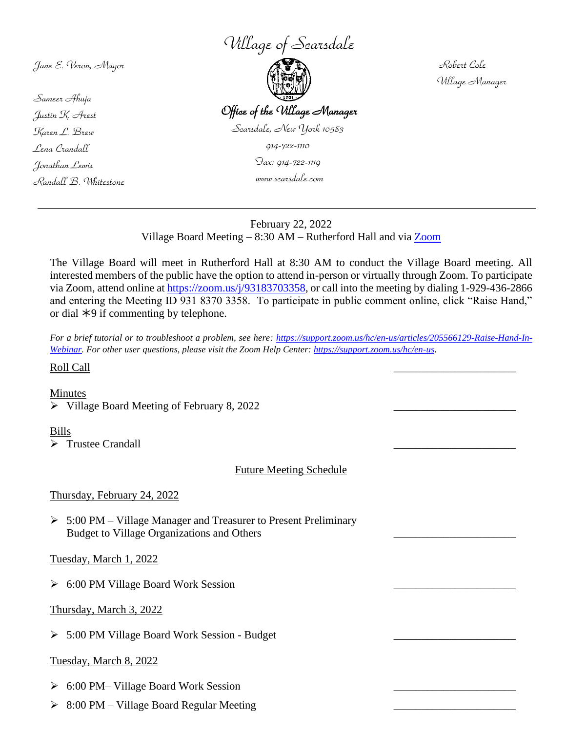*Village of Scarsdale*

*Jane E. Veron, Mayor*

*Sameer Ahuja Justin K. Arest Karen L. Brew Lena Crandall Jonathan Lewis Randall B. Whitestone*

 $\overline{a}$ 



 *Robert Cole Village Manager*

# February 22, 2022 Village Board Meeting  $-8:30$  AM – Rutherford Hall and via  $\frac{Z_{\text{oom}}}{Z_{\text{beam}}}$

 *www.scarsdale.com*

The Village Board will meet in Rutherford Hall at 8:30 AM to conduct the Village Board meeting. All interested members of the public have the option to attend in-person or virtually through Zoom. To participate via Zoom, attend online at [https://zoom.us/j/93183703358,](https://zoom.us/j/93183703358) or call into the meeting by dialing 1-929-436-2866 and entering the Meeting ID 931 8370 3358. To participate in public comment online, click "Raise Hand," or dial  $*9$  if commenting by telephone.

*For a brief tutorial or to troubleshoot a problem, see here: [https://support.zoom.us/hc/en-us/articles/205566129-Raise-Hand-In-](https://support.zoom.us/hc/en-us/articles/205566129-Raise-Hand-In-Webinar)[Webinar.](https://support.zoom.us/hc/en-us/articles/205566129-Raise-Hand-In-Webinar) For other user questions, please visit the Zoom Help Center:<https://support.zoom.us/hc/en-us>.*

## Roll Call \_\_\_\_\_\_\_\_\_\_\_\_\_\_\_\_\_\_\_\_\_\_

Minutes

 $\triangleright$  Village Board Meeting of February 8, 2022

## Bills

 $\triangleright$  Trustee Crandall

Future Meeting Schedule

Thursday, February 24, 2022

➢ 5:00 PM – Village Manager and Treasurer to Present Preliminary Budget to Village Organizations and Others

Tuesday, March 1, 2022

➢ 6:00 PM Village Board Work Session \_\_\_\_\_\_\_\_\_\_\_\_\_\_\_\_\_\_\_\_\_\_

Thursday, March 3, 2022

➢ 5:00 PM Village Board Work Session - Budget \_\_\_\_\_\_\_\_\_\_\_\_\_\_\_\_\_\_\_\_\_\_

# Tuesday, March 8, 2022

- ➢ 6:00 PM– Village Board Work Session \_\_\_\_\_\_\_\_\_\_\_\_\_\_\_\_\_\_\_\_\_\_
- $\geq$  8:00 PM Village Board Regular Meeting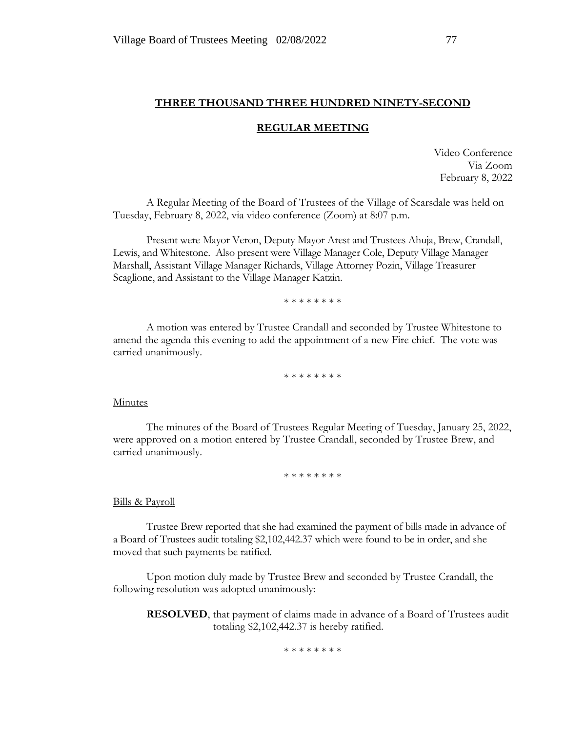## **THREE THOUSAND THREE HUNDRED NINETY-SECOND**

## **REGULAR MEETING**

Video Conference Via Zoom February 8, 2022

A Regular Meeting of the Board of Trustees of the Village of Scarsdale was held on Tuesday, February 8, 2022, via video conference (Zoom) at 8:07 p.m.

Present were Mayor Veron, Deputy Mayor Arest and Trustees Ahuja, Brew, Crandall, Lewis, and Whitestone. Also present were Village Manager Cole, Deputy Village Manager Marshall, Assistant Village Manager Richards, Village Attorney Pozin, Village Treasurer Scaglione, and Assistant to the Village Manager Katzin.

\* \* \* \* \* \* \* \*

A motion was entered by Trustee Crandall and seconded by Trustee Whitestone to amend the agenda this evening to add the appointment of a new Fire chief. The vote was carried unanimously.

\* \* \* \* \* \* \* \*

#### Minutes

The minutes of the Board of Trustees Regular Meeting of Tuesday, January 25, 2022, were approved on a motion entered by Trustee Crandall, seconded by Trustee Brew, and carried unanimously.

\* \* \* \* \* \* \* \*

#### Bills & Payroll

Trustee Brew reported that she had examined the payment of bills made in advance of a Board of Trustees audit totaling \$2,102,442.37 which were found to be in order, and she moved that such payments be ratified.

Upon motion duly made by Trustee Brew and seconded by Trustee Crandall, the following resolution was adopted unanimously:

**RESOLVED**, that payment of claims made in advance of a Board of Trustees audit totaling \$2,102,442.37 is hereby ratified.

\* \* \* \* \* \* \* \*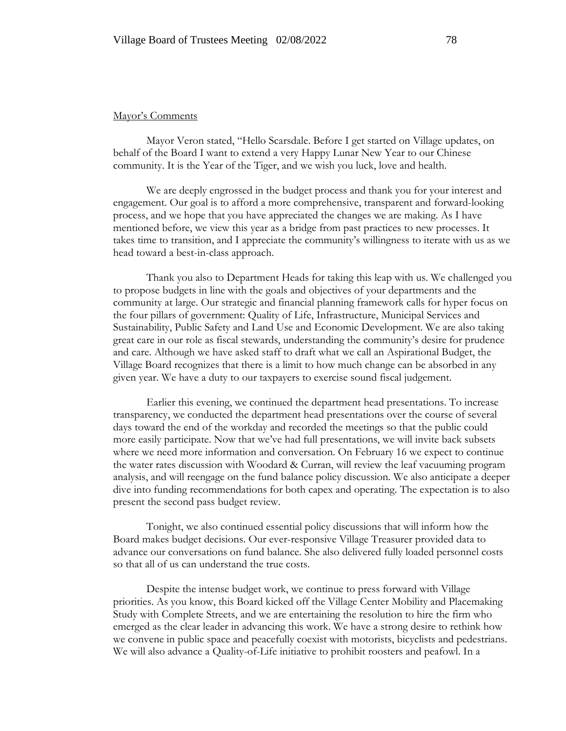#### Mayor's Comments

Mayor Veron stated, "Hello Scarsdale. Before I get started on Village updates, on behalf of the Board I want to extend a very Happy Lunar New Year to our Chinese community. It is the Year of the Tiger, and we wish you luck, love and health.

We are deeply engrossed in the budget process and thank you for your interest and engagement. Our goal is to afford a more comprehensive, transparent and forward-looking process, and we hope that you have appreciated the changes we are making. As I have mentioned before, we view this year as a bridge from past practices to new processes. It takes time to transition, and I appreciate the community's willingness to iterate with us as we head toward a best-in-class approach.

Thank you also to Department Heads for taking this leap with us. We challenged you to propose budgets in line with the goals and objectives of your departments and the community at large. Our strategic and financial planning framework calls for hyper focus on the four pillars of government: Quality of Life, Infrastructure, Municipal Services and Sustainability, Public Safety and Land Use and Economic Development. We are also taking great care in our role as fiscal stewards, understanding the community's desire for prudence and care. Although we have asked staff to draft what we call an Aspirational Budget, the Village Board recognizes that there is a limit to how much change can be absorbed in any given year. We have a duty to our taxpayers to exercise sound fiscal judgement.

Earlier this evening, we continued the department head presentations. To increase transparency, we conducted the department head presentations over the course of several days toward the end of the workday and recorded the meetings so that the public could more easily participate. Now that we've had full presentations, we will invite back subsets where we need more information and conversation. On February 16 we expect to continue the water rates discussion with Woodard & Curran, will review the leaf vacuuming program analysis, and will reengage on the fund balance policy discussion. We also anticipate a deeper dive into funding recommendations for both capex and operating. The expectation is to also present the second pass budget review.

Tonight, we also continued essential policy discussions that will inform how the Board makes budget decisions. Our ever-responsive Village Treasurer provided data to advance our conversations on fund balance. She also delivered fully loaded personnel costs so that all of us can understand the true costs.

Despite the intense budget work, we continue to press forward with Village priorities. As you know, this Board kicked off the Village Center Mobility and Placemaking Study with Complete Streets, and we are entertaining the resolution to hire the firm who emerged as the clear leader in advancing this work. We have a strong desire to rethink how we convene in public space and peacefully coexist with motorists, bicyclists and pedestrians. We will also advance a Quality-of-Life initiative to prohibit roosters and peafowl. In a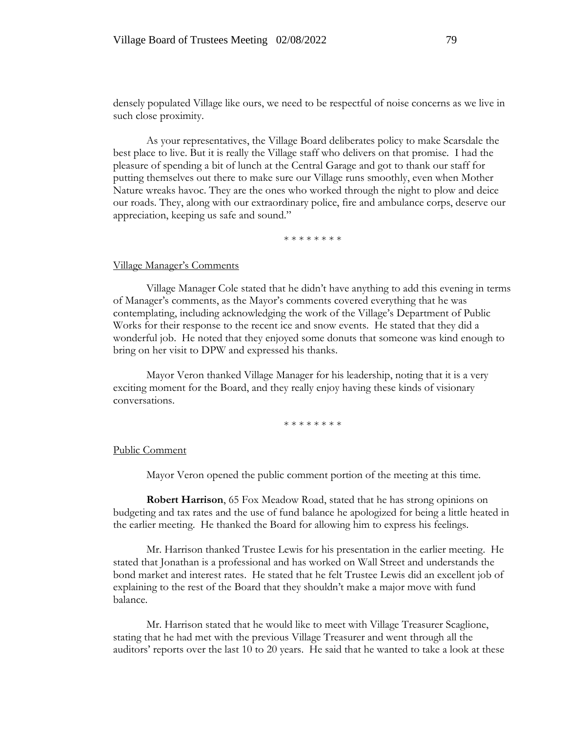densely populated Village like ours, we need to be respectful of noise concerns as we live in such close proximity.

As your representatives, the Village Board deliberates policy to make Scarsdale the best place to live. But it is really the Village staff who delivers on that promise. I had the pleasure of spending a bit of lunch at the Central Garage and got to thank our staff for putting themselves out there to make sure our Village runs smoothly, even when Mother Nature wreaks havoc. They are the ones who worked through the night to plow and deice our roads. They, along with our extraordinary police, fire and ambulance corps, deserve our appreciation, keeping us safe and sound."

\* \* \* \* \* \* \* \*

#### Village Manager's Comments

Village Manager Cole stated that he didn't have anything to add this evening in terms of Manager's comments, as the Mayor's comments covered everything that he was contemplating, including acknowledging the work of the Village's Department of Public Works for their response to the recent ice and snow events. He stated that they did a wonderful job. He noted that they enjoyed some donuts that someone was kind enough to bring on her visit to DPW and expressed his thanks.

Mayor Veron thanked Village Manager for his leadership, noting that it is a very exciting moment for the Board, and they really enjoy having these kinds of visionary conversations.

\* \* \* \* \* \* \* \*

#### Public Comment

Mayor Veron opened the public comment portion of the meeting at this time.

**Robert Harrison**, 65 Fox Meadow Road, stated that he has strong opinions on budgeting and tax rates and the use of fund balance he apologized for being a little heated in the earlier meeting. He thanked the Board for allowing him to express his feelings.

Mr. Harrison thanked Trustee Lewis for his presentation in the earlier meeting. He stated that Jonathan is a professional and has worked on Wall Street and understands the bond market and interest rates. He stated that he felt Trustee Lewis did an excellent job of explaining to the rest of the Board that they shouldn't make a major move with fund balance.

Mr. Harrison stated that he would like to meet with Village Treasurer Scaglione, stating that he had met with the previous Village Treasurer and went through all the auditors' reports over the last 10 to 20 years. He said that he wanted to take a look at these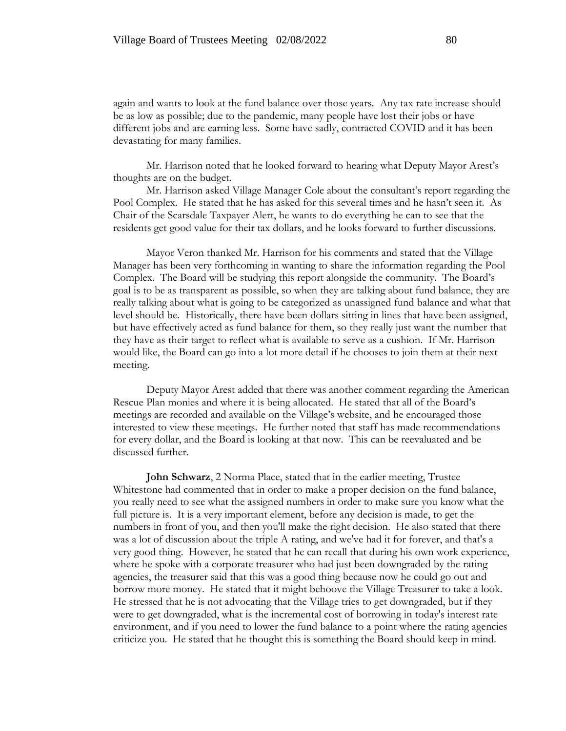again and wants to look at the fund balance over those years. Any tax rate increase should be as low as possible; due to the pandemic, many people have lost their jobs or have different jobs and are earning less. Some have sadly, contracted COVID and it has been devastating for many families.

Mr. Harrison noted that he looked forward to hearing what Deputy Mayor Arest's thoughts are on the budget.

Mr. Harrison asked Village Manager Cole about the consultant's report regarding the Pool Complex. He stated that he has asked for this several times and he hasn't seen it. As Chair of the Scarsdale Taxpayer Alert, he wants to do everything he can to see that the residents get good value for their tax dollars, and he looks forward to further discussions.

Mayor Veron thanked Mr. Harrison for his comments and stated that the Village Manager has been very forthcoming in wanting to share the information regarding the Pool Complex. The Board will be studying this report alongside the community. The Board's goal is to be as transparent as possible, so when they are talking about fund balance, they are really talking about what is going to be categorized as unassigned fund balance and what that level should be. Historically, there have been dollars sitting in lines that have been assigned, but have effectively acted as fund balance for them, so they really just want the number that they have as their target to reflect what is available to serve as a cushion. If Mr. Harrison would like, the Board can go into a lot more detail if he chooses to join them at their next meeting.

Deputy Mayor Arest added that there was another comment regarding the American Rescue Plan monies and where it is being allocated. He stated that all of the Board's meetings are recorded and available on the Village's website, and he encouraged those interested to view these meetings. He further noted that staff has made recommendations for every dollar, and the Board is looking at that now. This can be reevaluated and be discussed further.

**John Schwarz**, 2 Norma Place, stated that in the earlier meeting, Trustee Whitestone had commented that in order to make a proper decision on the fund balance, you really need to see what the assigned numbers in order to make sure you know what the full picture is. It is a very important element, before any decision is made, to get the numbers in front of you, and then you'll make the right decision. He also stated that there was a lot of discussion about the triple A rating, and we've had it for forever, and that's a very good thing. However, he stated that he can recall that during his own work experience, where he spoke with a corporate treasurer who had just been downgraded by the rating agencies, the treasurer said that this was a good thing because now he could go out and borrow more money. He stated that it might behoove the Village Treasurer to take a look. He stressed that he is not advocating that the Village tries to get downgraded, but if they were to get downgraded, what is the incremental cost of borrowing in today's interest rate environment, and if you need to lower the fund balance to a point where the rating agencies criticize you. He stated that he thought this is something the Board should keep in mind.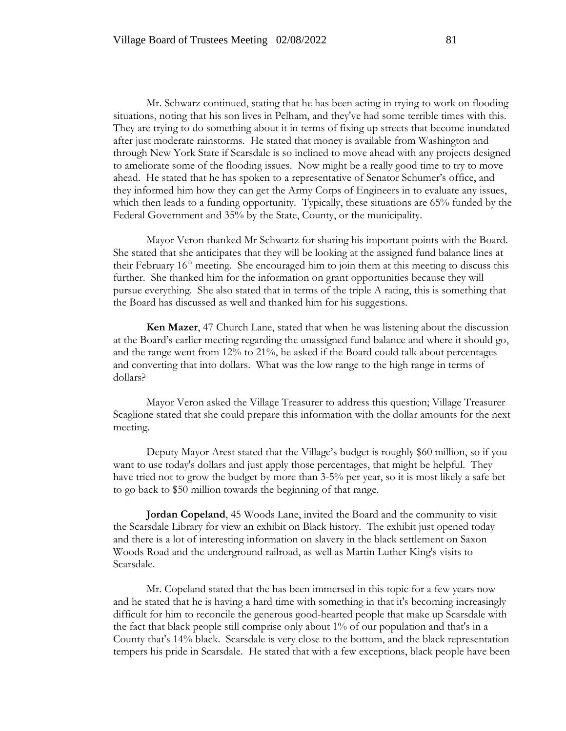Mr. Schwarz continued, stating that he has been acting in trying to work on flooding situations, noting that his son lives in Pelham, and they've had some terrible times with this. They are trying to do something about it in terms of fixing up streets that become inundated after just moderate rainstorms. He stated that money is available from Washington and through New York State if Scarsdale is so inclined to move ahead with any projects designed to ameliorate some of the flooding issues. Now might be a really good time to try to move ahead. He stated that he has spoken to a representative of Senator Schumer's office, and they informed him how they can get the Army Corps of Engineers in to evaluate any issues, which then leads to a funding opportunity. Typically, these situations are 65% funded by the Federal Government and 35% by the State, County, or the municipality.

Mayor Veron thanked Mr Schwartz for sharing his important points with the Board. She stated that she anticipates that they will be looking at the assigned fund balance lines at their February 16<sup>th</sup> meeting. She encouraged him to join them at this meeting to discuss this further. She thanked him for the information on grant opportunities because they will pursue everything. She also stated that in terms of the triple A rating, this is something that the Board has discussed as well and thanked him for his suggestions.

**Ken Mazer**, 47 Church Lane, stated that when he was listening about the discussion at the Board's earlier meeting regarding the unassigned fund balance and where it should go, and the range went from 12% to 21%, he asked if the Board could talk about percentages and converting that into dollars. What was the low range to the high range in terms of dollars?

Mayor Veron asked the Village Treasurer to address this question; Village Treasurer Scaglione stated that she could prepare this information with the dollar amounts for the next meeting.

Deputy Mayor Arest stated that the Village's budget is roughly \$60 million, so if you want to use today's dollars and just apply those percentages, that might be helpful. They have tried not to grow the budget by more than 3-5% per year, so it is most likely a safe bet to go back to \$50 million towards the beginning of that range.

**Jordan Copeland**, 45 Woods Lane, invited the Board and the community to visit the Scarsdale Library for view an exhibit on Black history. The exhibit just opened today and there is a lot of interesting information on slavery in the black settlement on Saxon Woods Road and the underground railroad, as well as Martin Luther King's visits to Scarsdale.

Mr. Copeland stated that the has been immersed in this topic for a few years now and he stated that he is having a hard time with something in that it's becoming increasingly difficult for him to reconcile the generous good-hearted people that make up Scarsdale with the fact that black people still comprise only about 1% of our population and that's in a County that's 14% black. Scarsdale is very close to the bottom, and the black representation tempers his pride in Scarsdale. He stated that with a few exceptions, black people have been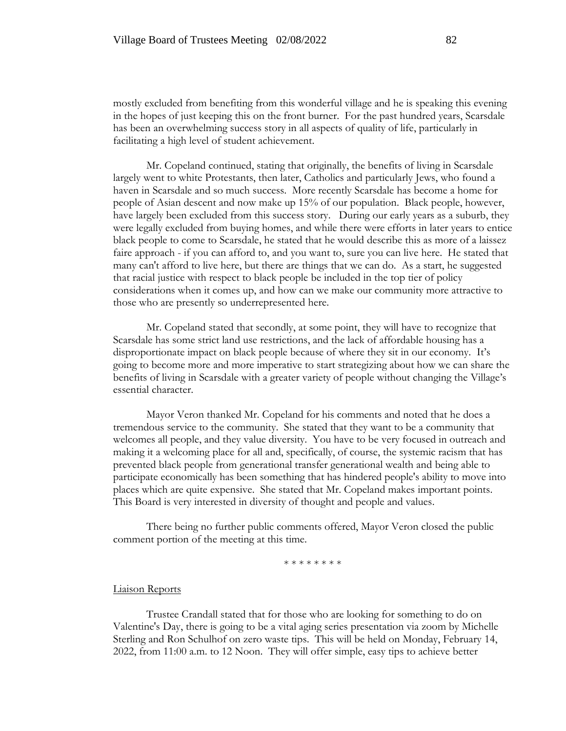mostly excluded from benefiting from this wonderful village and he is speaking this evening in the hopes of just keeping this on the front burner. For the past hundred years, Scarsdale has been an overwhelming success story in all aspects of quality of life, particularly in facilitating a high level of student achievement.

Mr. Copeland continued, stating that originally, the benefits of living in Scarsdale largely went to white Protestants, then later, Catholics and particularly Jews, who found a haven in Scarsdale and so much success. More recently Scarsdale has become a home for people of Asian descent and now make up 15% of our population. Black people, however, have largely been excluded from this success story. During our early years as a suburb, they were legally excluded from buying homes, and while there were efforts in later years to entice black people to come to Scarsdale, he stated that he would describe this as more of a laissez faire approach - if you can afford to, and you want to, sure you can live here. He stated that many can't afford to live here, but there are things that we can do. As a start, he suggested that racial justice with respect to black people be included in the top tier of policy considerations when it comes up, and how can we make our community more attractive to those who are presently so underrepresented here.

Mr. Copeland stated that secondly, at some point, they will have to recognize that Scarsdale has some strict land use restrictions, and the lack of affordable housing has a disproportionate impact on black people because of where they sit in our economy. It's going to become more and more imperative to start strategizing about how we can share the benefits of living in Scarsdale with a greater variety of people without changing the Village's essential character.

Mayor Veron thanked Mr. Copeland for his comments and noted that he does a tremendous service to the community. She stated that they want to be a community that welcomes all people, and they value diversity. You have to be very focused in outreach and making it a welcoming place for all and, specifically, of course, the systemic racism that has prevented black people from generational transfer generational wealth and being able to participate economically has been something that has hindered people's ability to move into places which are quite expensive. She stated that Mr. Copeland makes important points. This Board is very interested in diversity of thought and people and values.

There being no further public comments offered, Mayor Veron closed the public comment portion of the meeting at this time.

\* \* \* \* \* \* \* \*

#### Liaison Reports

Trustee Crandall stated that for those who are looking for something to do on Valentine's Day, there is going to be a vital aging series presentation via zoom by Michelle Sterling and Ron Schulhof on zero waste tips. This will be held on Monday, February 14, 2022, from 11:00 a.m. to 12 Noon. They will offer simple, easy tips to achieve better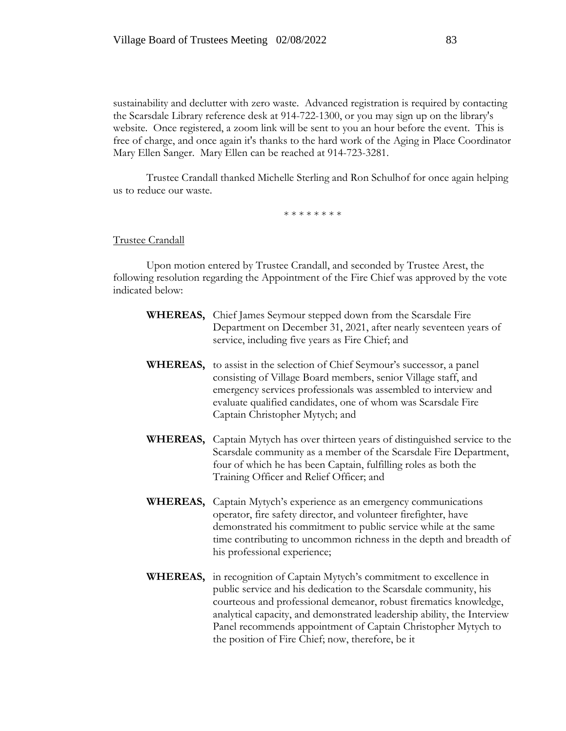sustainability and declutter with zero waste. Advanced registration is required by contacting the Scarsdale Library reference desk at 914-722-1300, or you may sign up on the library's website. Once registered, a zoom link will be sent to you an hour before the event. This is free of charge, and once again it's thanks to the hard work of the Aging in Place Coordinator Mary Ellen Sanger. Mary Ellen can be reached at 914-723-3281.

Trustee Crandall thanked Michelle Sterling and Ron Schulhof for once again helping us to reduce our waste.

\* \* \* \* \* \* \* \*

Trustee Crandall

Upon motion entered by Trustee Crandall, and seconded by Trustee Arest, the following resolution regarding the Appointment of the Fire Chief was approved by the vote indicated below:

- **WHEREAS,** Chief James Seymour stepped down from the Scarsdale Fire Department on December 31, 2021, after nearly seventeen years of service, including five years as Fire Chief; and
- **WHEREAS,** to assist in the selection of Chief Seymour's successor, a panel consisting of Village Board members, senior Village staff, and emergency services professionals was assembled to interview and evaluate qualified candidates, one of whom was Scarsdale Fire Captain Christopher Mytych; and
- **WHEREAS,** Captain Mytych has over thirteen years of distinguished service to the Scarsdale community as a member of the Scarsdale Fire Department, four of which he has been Captain, fulfilling roles as both the Training Officer and Relief Officer; and
- **WHEREAS,** Captain Mytych's experience as an emergency communications operator, fire safety director, and volunteer firefighter, have demonstrated his commitment to public service while at the same time contributing to uncommon richness in the depth and breadth of his professional experience;
- **WHEREAS,** in recognition of Captain Mytych's commitment to excellence in public service and his dedication to the Scarsdale community, his courteous and professional demeanor, robust firematics knowledge, analytical capacity, and demonstrated leadership ability, the Interview Panel recommends appointment of Captain Christopher Mytych to the position of Fire Chief; now, therefore, be it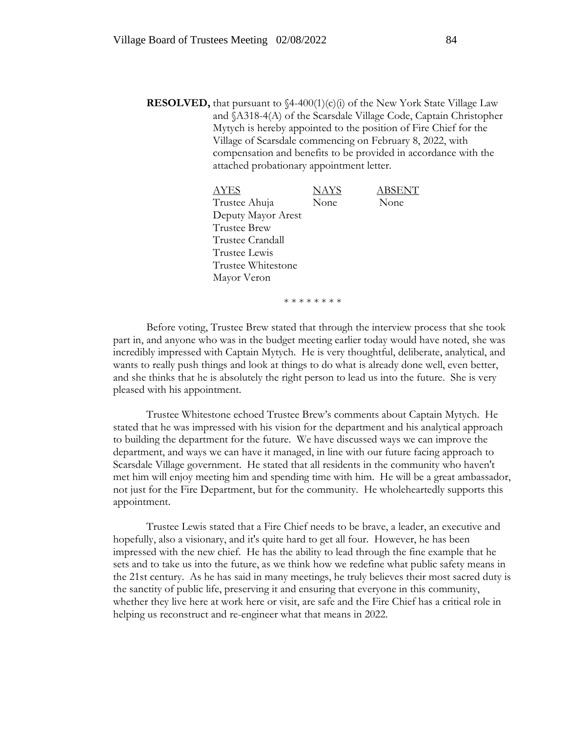**RESOLVED,** that pursuant to  $\frac{4-400(1)}{c}$  of the New York State Village Law and §A318-4(A) of the Scarsdale Village Code, Captain Christopher Mytych is hereby appointed to the position of Fire Chief for the Village of Scarsdale commencing on February 8, 2022, with compensation and benefits to be provided in accordance with the attached probationary appointment letter.

> AYES NAYS ABSENT Trustee Ahuja None None Deputy Mayor Arest Trustee Brew Trustee Crandall Trustee Lewis Trustee Whitestone Mayor Veron

> > \* \* \* \* \* \* \* \*

Before voting, Trustee Brew stated that through the interview process that she took part in, and anyone who was in the budget meeting earlier today would have noted, she was incredibly impressed with Captain Mytych. He is very thoughtful, deliberate, analytical, and wants to really push things and look at things to do what is already done well, even better, and she thinks that he is absolutely the right person to lead us into the future. She is very pleased with his appointment.

Trustee Whitestone echoed Trustee Brew's comments about Captain Mytych. He stated that he was impressed with his vision for the department and his analytical approach to building the department for the future. We have discussed ways we can improve the department, and ways we can have it managed, in line with our future facing approach to Scarsdale Village government. He stated that all residents in the community who haven't met him will enjoy meeting him and spending time with him. He will be a great ambassador, not just for the Fire Department, but for the community. He wholeheartedly supports this appointment.

Trustee Lewis stated that a Fire Chief needs to be brave, a leader, an executive and hopefully, also a visionary, and it's quite hard to get all four. However, he has been impressed with the new chief. He has the ability to lead through the fine example that he sets and to take us into the future, as we think how we redefine what public safety means in the 21st century. As he has said in many meetings, he truly believes their most sacred duty is the sanctity of public life, preserving it and ensuring that everyone in this community, whether they live here at work here or visit, are safe and the Fire Chief has a critical role in helping us reconstruct and re-engineer what that means in 2022.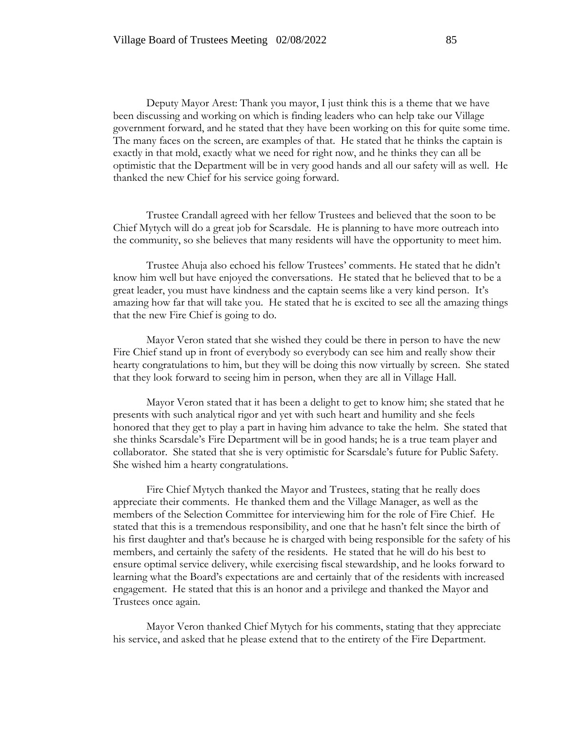Deputy Mayor Arest: Thank you mayor, I just think this is a theme that we have been discussing and working on which is finding leaders who can help take our Village government forward, and he stated that they have been working on this for quite some time. The many faces on the screen, are examples of that. He stated that he thinks the captain is exactly in that mold, exactly what we need for right now, and he thinks they can all be optimistic that the Department will be in very good hands and all our safety will as well. He thanked the new Chief for his service going forward.

Trustee Crandall agreed with her fellow Trustees and believed that the soon to be Chief Mytych will do a great job for Scarsdale. He is planning to have more outreach into the community, so she believes that many residents will have the opportunity to meet him.

Trustee Ahuja also echoed his fellow Trustees' comments. He stated that he didn't know him well but have enjoyed the conversations. He stated that he believed that to be a great leader, you must have kindness and the captain seems like a very kind person. It's amazing how far that will take you. He stated that he is excited to see all the amazing things that the new Fire Chief is going to do.

Mayor Veron stated that she wished they could be there in person to have the new Fire Chief stand up in front of everybody so everybody can see him and really show their hearty congratulations to him, but they will be doing this now virtually by screen. She stated that they look forward to seeing him in person, when they are all in Village Hall.

Mayor Veron stated that it has been a delight to get to know him; she stated that he presents with such analytical rigor and yet with such heart and humility and she feels honored that they get to play a part in having him advance to take the helm. She stated that she thinks Scarsdale's Fire Department will be in good hands; he is a true team player and collaborator. She stated that she is very optimistic for Scarsdale's future for Public Safety. She wished him a hearty congratulations.

Fire Chief Mytych thanked the Mayor and Trustees, stating that he really does appreciate their comments. He thanked them and the Village Manager, as well as the members of the Selection Committee for interviewing him for the role of Fire Chief. He stated that this is a tremendous responsibility, and one that he hasn't felt since the birth of his first daughter and that's because he is charged with being responsible for the safety of his members, and certainly the safety of the residents. He stated that he will do his best to ensure optimal service delivery, while exercising fiscal stewardship, and he looks forward to learning what the Board's expectations are and certainly that of the residents with increased engagement. He stated that this is an honor and a privilege and thanked the Mayor and Trustees once again.

Mayor Veron thanked Chief Mytych for his comments, stating that they appreciate his service, and asked that he please extend that to the entirety of the Fire Department.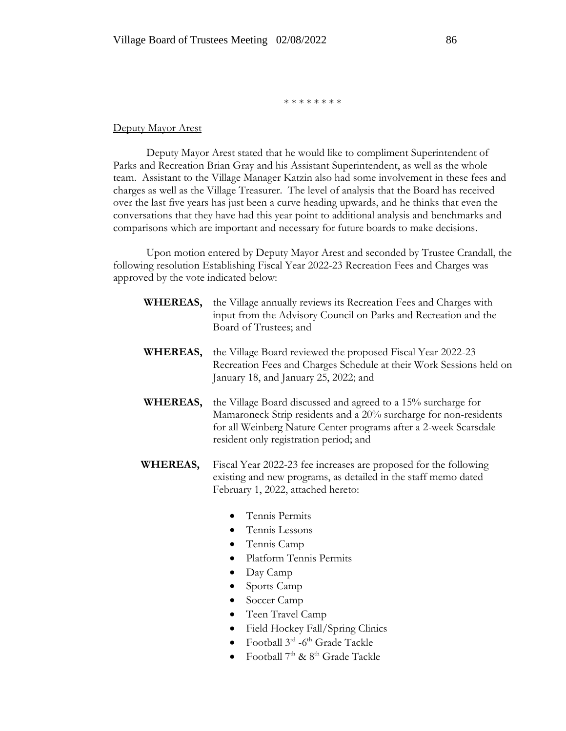\* \* \* \* \* \* \* \*

### Deputy Mayor Arest

Deputy Mayor Arest stated that he would like to compliment Superintendent of Parks and Recreation Brian Gray and his Assistant Superintendent, as well as the whole team. Assistant to the Village Manager Katzin also had some involvement in these fees and charges as well as the Village Treasurer. The level of analysis that the Board has received over the last five years has just been a curve heading upwards, and he thinks that even the conversations that they have had this year point to additional analysis and benchmarks and comparisons which are important and necessary for future boards to make decisions.

Upon motion entered by Deputy Mayor Arest and seconded by Trustee Crandall, the following resolution Establishing Fiscal Year 2022-23 Recreation Fees and Charges was approved by the vote indicated below:

- **WHEREAS,** the Village annually reviews its Recreation Fees and Charges with input from the Advisory Council on Parks and Recreation and the Board of Trustees; and
- **WHEREAS,** the Village Board reviewed the proposed Fiscal Year 2022-23 Recreation Fees and Charges Schedule at their Work Sessions held on January 18, and January 25, 2022; and
- **WHEREAS,** the Village Board discussed and agreed to a 15% surcharge for Mamaroneck Strip residents and a 20% surcharge for non-residents for all Weinberg Nature Center programs after a 2-week Scarsdale resident only registration period; and
- **WHEREAS,** Fiscal Year 2022-23 fee increases are proposed for the following existing and new programs, as detailed in the staff memo dated February 1, 2022, attached hereto:
	- Tennis Permits
	- Tennis Lessons
	- Tennis Camp
	- Platform Tennis Permits
	- Day Camp
	- Sports Camp
	- Soccer Camp
	- Teen Travel Camp
	- Field Hockey Fall/Spring Clinics
	- Football  $3^{rd}$  -6<sup>th</sup> Grade Tackle
	- Football  $7<sup>th</sup>$  &  $8<sup>th</sup>$  Grade Tackle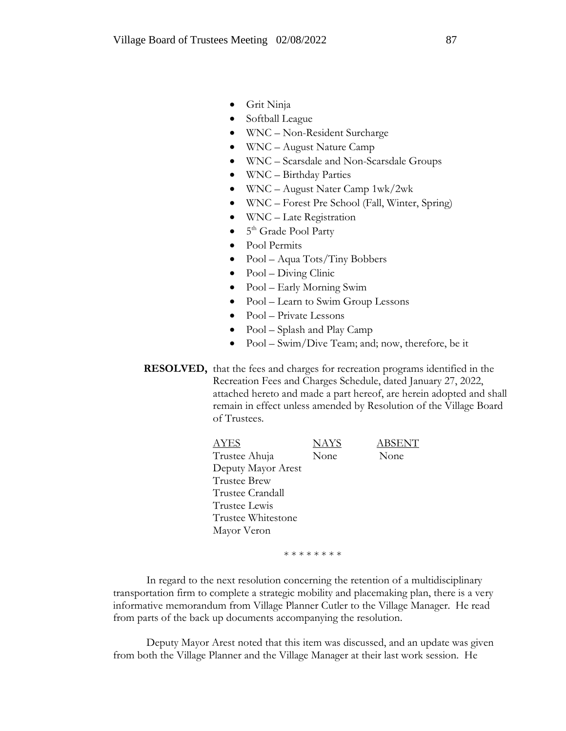- Grit Ninja
- Softball League
- WNC Non-Resident Surcharge
- WNC August Nature Camp
- WNC Scarsdale and Non-Scarsdale Groups
- WNC Birthday Parties
- WNC August Nater Camp 1wk/2wk
- WNC Forest Pre School (Fall, Winter, Spring)
- WNC Late Registration
- 5<sup>th</sup> Grade Pool Party
- Pool Permits
- Pool Aqua Tots/Tiny Bobbers
- Pool Diving Clinic
- Pool Early Morning Swim
- Pool Learn to Swim Group Lessons
- Pool Private Lessons
- Pool Splash and Play Camp
- Pool Swim/Dive Team; and; now, therefore, be it

 **RESOLVED,** that the fees and charges for recreation programs identified in the Recreation Fees and Charges Schedule, dated January 27, 2022, attached hereto and made a part hereof, are herein adopted and shall remain in effect unless amended by Resolution of the Village Board of Trustees.

> AYES NAYS ABSENT Trustee Ahuja None None Deputy Mayor Arest Trustee Brew Trustee Crandall Trustee Lewis Trustee Whitestone Mayor Veron

> > \* \* \* \* \* \* \* \*

In regard to the next resolution concerning the retention of a multidisciplinary transportation firm to complete a strategic mobility and placemaking plan, there is a very informative memorandum from Village Planner Cutler to the Village Manager. He read from parts of the back up documents accompanying the resolution.

Deputy Mayor Arest noted that this item was discussed, and an update was given from both the Village Planner and the Village Manager at their last work session. He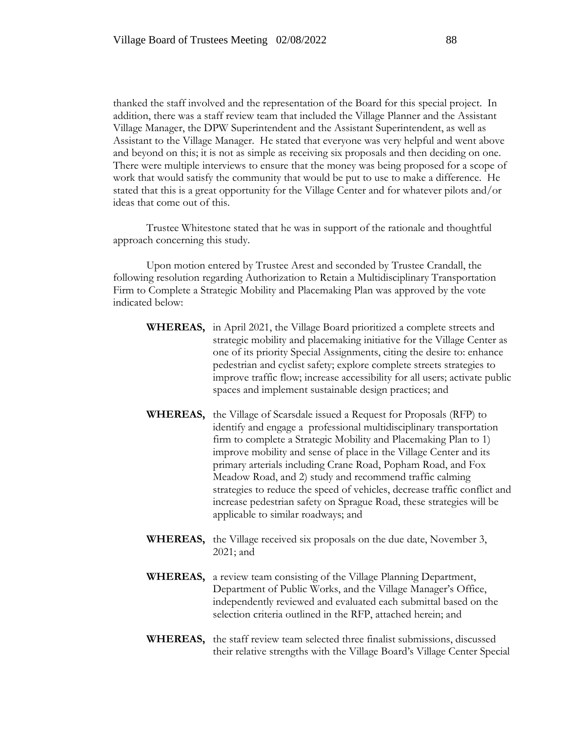thanked the staff involved and the representation of the Board for this special project. In addition, there was a staff review team that included the Village Planner and the Assistant Village Manager, the DPW Superintendent and the Assistant Superintendent, as well as Assistant to the Village Manager. He stated that everyone was very helpful and went above and beyond on this; it is not as simple as receiving six proposals and then deciding on one. There were multiple interviews to ensure that the money was being proposed for a scope of work that would satisfy the community that would be put to use to make a difference. He stated that this is a great opportunity for the Village Center and for whatever pilots and/or ideas that come out of this.

Trustee Whitestone stated that he was in support of the rationale and thoughtful approach concerning this study.

Upon motion entered by Trustee Arest and seconded by Trustee Crandall, the following resolution regarding Authorization to Retain a Multidisciplinary Transportation Firm to Complete a Strategic Mobility and Placemaking Plan was approved by the vote indicated below:

- **WHEREAS,** in April 2021, the Village Board prioritized a complete streets and strategic mobility and placemaking initiative for the Village Center as one of its priority Special Assignments, citing the desire to: enhance pedestrian and cyclist safety; explore complete streets strategies to improve traffic flow; increase accessibility for all users; activate public spaces and implement sustainable design practices; and
- **WHEREAS,** the Village of Scarsdale issued a Request for Proposals (RFP) to identify and engage a professional multidisciplinary transportation firm to complete a Strategic Mobility and Placemaking Plan to 1) improve mobility and sense of place in the Village Center and its primary arterials including Crane Road, Popham Road, and Fox Meadow Road, and 2) study and recommend traffic calming strategies to reduce the speed of vehicles, decrease traffic conflict and increase pedestrian safety on Sprague Road, these strategies will be applicable to similar roadways; and
- **WHEREAS,** the Village received six proposals on the due date, November 3, 2021; and
- **WHEREAS,** a review team consisting of the Village Planning Department, Department of Public Works, and the Village Manager's Office, independently reviewed and evaluated each submittal based on the selection criteria outlined in the RFP, attached herein; and
- **WHEREAS,** the staff review team selected three finalist submissions, discussed their relative strengths with the Village Board's Village Center Special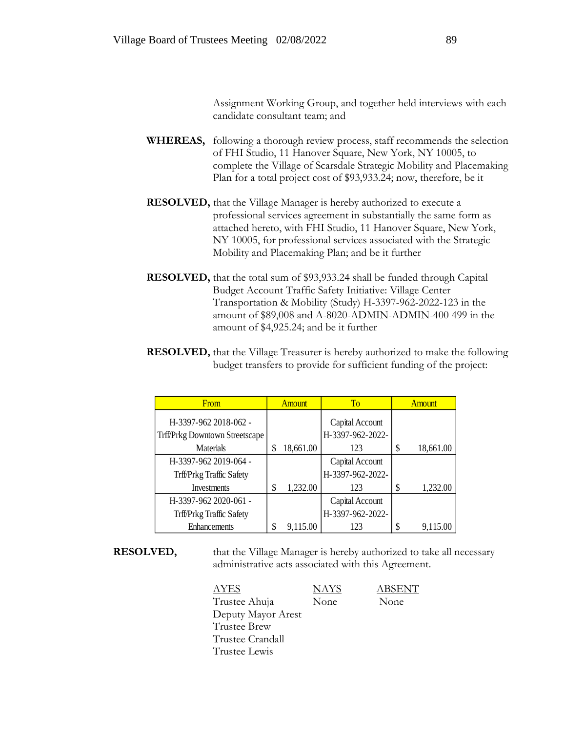Assignment Working Group, and together held interviews with each candidate consultant team; and

- **WHEREAS,** following a thorough review process, staff recommends the selection of FHI Studio, 11 Hanover Square, New York, NY 10005, to complete the Village of Scarsdale Strategic Mobility and Placemaking Plan for a total project cost of \$93,933.24; now, therefore, be it
- **RESOLVED,** that the Village Manager is hereby authorized to execute a professional services agreement in substantially the same form as attached hereto, with FHI Studio, 11 Hanover Square, New York, NY 10005, for professional services associated with the Strategic Mobility and Placemaking Plan; and be it further
- **RESOLVED,** that the total sum of \$93,933.24 shall be funded through Capital Budget Account Traffic Safety Initiative: Village Center Transportation & Mobility (Study) H-3397-962-2022-123 in the amount of \$89,008 and A-8020-ADMIN-ADMIN-400 499 in the amount of \$4,925.24; and be it further
- **RESOLVED,** that the Village Treasurer is hereby authorized to make the following budget transfers to provide for sufficient funding of the project:

| From                                  | <b>Amount</b>   | T <sub>0</sub>   | <b>Amount</b>   |
|---------------------------------------|-----------------|------------------|-----------------|
| H-3397-962 2018-062 -                 |                 | Capital Account  |                 |
| <b>Trff/Prkg Downtown Streetscape</b> |                 | H-3397-962-2022- |                 |
| Materials                             | \$<br>18,661.00 | 123              | \$<br>18,661.00 |
| H-3397-962 2019-064 -                 |                 | Capital Account  |                 |
| Trff/Prkg Traffic Safety              |                 | H-3397-962-2022- |                 |
| Investments                           | \$<br>1,232.00  | 123              | \$<br>1,232.00  |
| H-3397-962 2020-061 -                 |                 | Capital Account  |                 |
| Trff/Prkg Traffic Safety              |                 | H-3397-962-2022- |                 |
| Enhancements                          | \$<br>9,115.00  | 123              | \$<br>9,115.00  |

**RESOLVED,** that the Village Manager is hereby authorized to take all necessary administrative acts associated with this Agreement.

| AYES               | <b>NAYS</b> | <b>ABSENT</b> |
|--------------------|-------------|---------------|
| Trustee Ahuja      | None        | None          |
| Deputy Mayor Arest |             |               |
| Trustee Brew       |             |               |
| Trustee Crandall   |             |               |
| Trustee Lewis      |             |               |
|                    |             |               |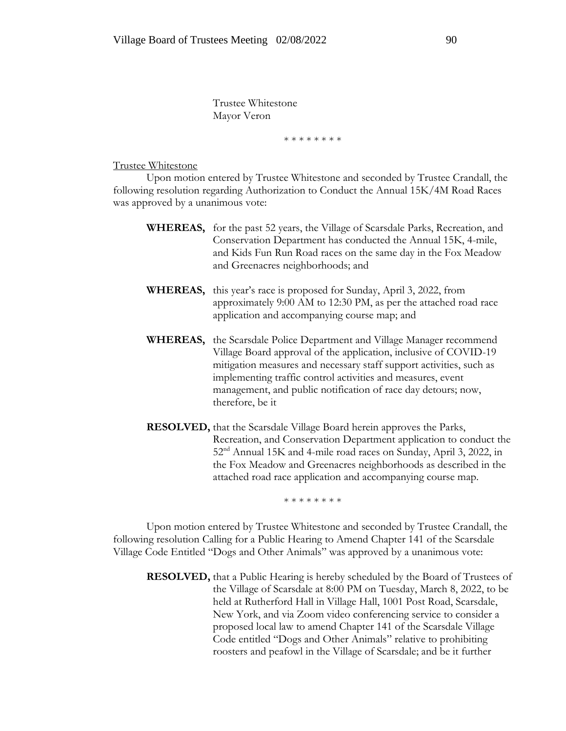Trustee Whitestone Mayor Veron

\* \* \* \* \* \* \* \*

#### Trustee Whitestone

Upon motion entered by Trustee Whitestone and seconded by Trustee Crandall, the following resolution regarding Authorization to Conduct the Annual 15K/4M Road Races was approved by a unanimous vote:

- **WHEREAS,** for the past 52 years, the Village of Scarsdale Parks, Recreation, and Conservation Department has conducted the Annual 15K, 4-mile, and Kids Fun Run Road races on the same day in the Fox Meadow and Greenacres neighborhoods; and
- **WHEREAS,** this year's race is proposed for Sunday, April 3, 2022, from approximately 9:00 AM to 12:30 PM, as per the attached road race application and accompanying course map; and
- **WHEREAS,** the Scarsdale Police Department and Village Manager recommend Village Board approval of the application, inclusive of COVID-19 mitigation measures and necessary staff support activities, such as implementing traffic control activities and measures, event management, and public notification of race day detours; now, therefore, be it
- **RESOLVED,** that the Scarsdale Village Board herein approves the Parks, Recreation, and Conservation Department application to conduct the 52nd Annual 15K and 4-mile road races on Sunday, April 3, 2022, in the Fox Meadow and Greenacres neighborhoods as described in the attached road race application and accompanying course map.

\* \* \* \* \* \* \*

Upon motion entered by Trustee Whitestone and seconded by Trustee Crandall, the following resolution Calling for a Public Hearing to Amend Chapter 141 of the Scarsdale Village Code Entitled "Dogs and Other Animals" was approved by a unanimous vote:

**RESOLVED,** that a Public Hearing is hereby scheduled by the Board of Trustees of the Village of Scarsdale at 8:00 PM on Tuesday, March 8, 2022, to be held at Rutherford Hall in Village Hall, 1001 Post Road, Scarsdale, New York, and via Zoom video conferencing service to consider a proposed local law to amend Chapter 141 of the Scarsdale Village Code entitled "Dogs and Other Animals" relative to prohibiting roosters and peafowl in the Village of Scarsdale; and be it further